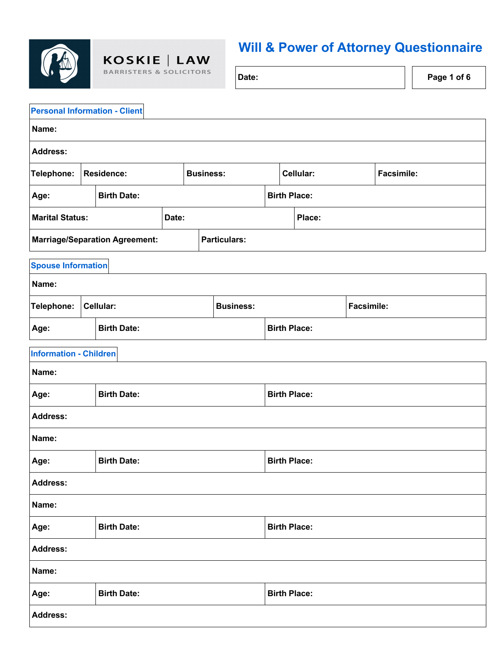

 $\textbf{KOSKIE} {\scriptsize \begin{array}{|c|c|}\hline \textbf{LAW} \\\scriptsize \textbf{BARTISTERS & SOLICITORS}\end{array}}$ 

## **Will & Power of Attorney Questionnaire**

**Date: Page 1 of 6** 

|                               | <b>Personal Information - Client</b>      |                                       |       |                     |                     |                     |                     |                     |                     |                   |                   |
|-------------------------------|-------------------------------------------|---------------------------------------|-------|---------------------|---------------------|---------------------|---------------------|---------------------|---------------------|-------------------|-------------------|
| Name:                         |                                           |                                       |       |                     |                     |                     |                     |                     |                     |                   |                   |
| <b>Address:</b>               |                                           |                                       |       |                     |                     |                     |                     |                     |                     |                   |                   |
| Telephone:                    |                                           | <b>Residence:</b>                     |       | <b>Business:</b>    |                     |                     |                     | Cellular:           |                     |                   | <b>Facsimile:</b> |
| Age:                          |                                           | <b>Birth Date:</b>                    |       |                     |                     |                     |                     |                     | <b>Birth Place:</b> |                   |                   |
| <b>Marital Status:</b>        |                                           |                                       | Date: |                     |                     |                     | Place:              |                     |                     |                   |                   |
|                               |                                           | <b>Marriage/Separation Agreement:</b> |       |                     |                     | <b>Particulars:</b> |                     |                     |                     |                   |                   |
| <b>Spouse Information</b>     |                                           |                                       |       |                     |                     |                     |                     |                     |                     |                   |                   |
| Name:                         |                                           |                                       |       |                     |                     |                     |                     |                     |                     |                   |                   |
| Telephone:                    |                                           | Cellular:                             |       |                     |                     | <b>Business:</b>    |                     |                     |                     | <b>Facsimile:</b> |                   |
| Age:                          |                                           | <b>Birth Date:</b>                    |       |                     |                     |                     | <b>Birth Place:</b> |                     |                     |                   |                   |
| <b>Information - Children</b> |                                           |                                       |       |                     |                     |                     |                     |                     |                     |                   |                   |
| Name:                         |                                           |                                       |       |                     |                     |                     |                     |                     |                     |                   |                   |
| <b>Birth Date:</b><br>Age:    |                                           |                                       |       |                     | <b>Birth Place:</b> |                     |                     |                     |                     |                   |                   |
| <b>Address:</b>               |                                           |                                       |       |                     |                     |                     |                     |                     |                     |                   |                   |
| Name:                         |                                           |                                       |       |                     |                     |                     |                     |                     |                     |                   |                   |
| Age:                          |                                           | <b>Birth Date:</b>                    |       |                     |                     |                     |                     | <b>Birth Place:</b> |                     |                   |                   |
| <b>Address:</b>               |                                           |                                       |       |                     |                     |                     |                     |                     |                     |                   |                   |
| Name:                         |                                           |                                       |       |                     |                     |                     |                     |                     |                     |                   |                   |
| <b>Birth Date:</b><br>Age:    |                                           |                                       |       | <b>Birth Place:</b> |                     |                     |                     |                     |                     |                   |                   |
| <b>Address:</b>               |                                           |                                       |       |                     |                     |                     |                     |                     |                     |                   |                   |
| Name:                         |                                           |                                       |       |                     |                     |                     |                     |                     |                     |                   |                   |
| Age:                          | <b>Birth Place:</b><br><b>Birth Date:</b> |                                       |       |                     |                     |                     |                     |                     |                     |                   |                   |
| <b>Address:</b>               |                                           |                                       |       |                     |                     |                     |                     |                     |                     |                   |                   |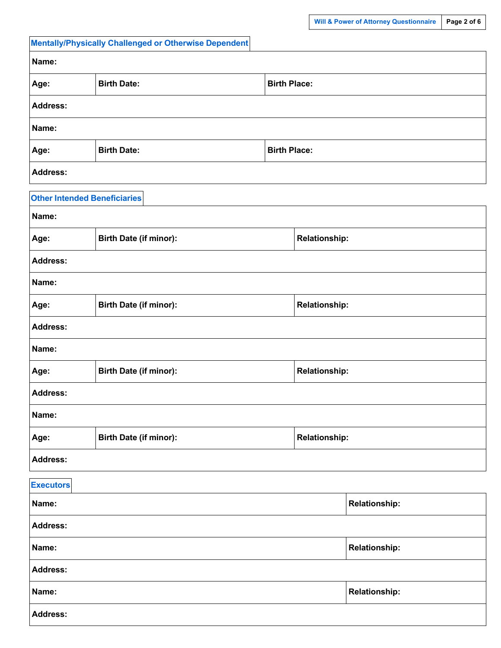**Name: Relationship:**

|                                       | <b>Mentally/Physically Challenged or Otherwise Dependent</b> |                      |                      |                      |  |  |
|---------------------------------------|--------------------------------------------------------------|----------------------|----------------------|----------------------|--|--|
| Name:                                 |                                                              |                      |                      |                      |  |  |
| Age:                                  | <b>Birth Date:</b>                                           |                      |                      | <b>Birth Place:</b>  |  |  |
| <b>Address:</b>                       |                                                              |                      |                      |                      |  |  |
| Name:                                 |                                                              |                      |                      |                      |  |  |
| Age:                                  | <b>Birth Date:</b>                                           | <b>Birth Place:</b>  |                      |                      |  |  |
| <b>Address:</b>                       |                                                              |                      |                      |                      |  |  |
| <b>Other Intended Beneficiaries</b>   |                                                              |                      |                      |                      |  |  |
| Name:                                 |                                                              |                      |                      |                      |  |  |
| Age:                                  | Birth Date (if minor):                                       |                      | <b>Relationship:</b> |                      |  |  |
| <b>Address:</b>                       |                                                              |                      |                      |                      |  |  |
| Name:                                 |                                                              |                      |                      |                      |  |  |
| Age:                                  | <b>Birth Date (if minor):</b>                                | <b>Relationship:</b> |                      |                      |  |  |
| <b>Address:</b>                       |                                                              |                      |                      |                      |  |  |
| Name:                                 |                                                              |                      |                      |                      |  |  |
| Age:                                  | Birth Date (if minor):                                       | <b>Relationship:</b> |                      |                      |  |  |
| <b>Address:</b>                       |                                                              |                      |                      |                      |  |  |
| Name:                                 |                                                              |                      |                      |                      |  |  |
| <b>Birth Date (if minor):</b><br>Age: |                                                              |                      | <b>Relationship:</b> |                      |  |  |
| <b>Address:</b>                       |                                                              |                      |                      |                      |  |  |
| <b>Executors</b>                      |                                                              |                      |                      |                      |  |  |
| Name:                                 |                                                              |                      |                      | <b>Relationship:</b> |  |  |
| Address:                              |                                                              |                      |                      |                      |  |  |

| lame<br>ч |
|-----------|
|-----------|

**Address:**

**Name: Relationship: Relationship: Relationship: Relationship: Relationship: Relationship: Relationship: Relationship: Relationship: Relationship: Relationship: Relationship: Relationship: Relat** 

**Address:**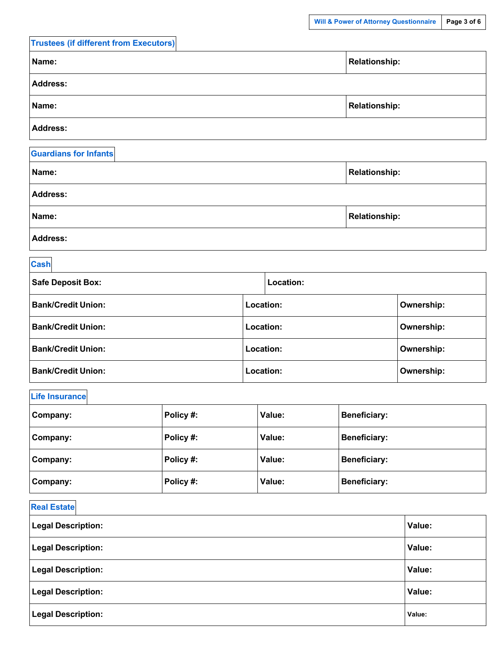| <b>Trustees (if different from Executors)</b> |                      |
|-----------------------------------------------|----------------------|
| Name:                                         | <b>Relationship:</b> |
| <b>Address:</b>                               |                      |
| Name:                                         | <b>Relationship:</b> |
| <b>Address:</b>                               |                      |
|                                               |                      |

| <b>Guardians for Infants</b> |                      |
|------------------------------|----------------------|
| Name:                        | <b>Relationship:</b> |
| <b>Address:</b>              |                      |
| Name:                        | <b>Relationship:</b> |
| <b>Address:</b>              |                      |

#### **Cash**

| <b>Safe Deposit Box:</b>  |           | Location:        |                   |  |
|---------------------------|-----------|------------------|-------------------|--|
| <b>Bank/Credit Union:</b> |           | <b>Location:</b> | <b>Ownership:</b> |  |
| <b>Bank/Credit Union:</b> |           | Location:        | <b>Ownership:</b> |  |
| <b>Bank/Credit Union:</b> |           | <b>Location:</b> | <b>Ownership:</b> |  |
| <b>Bank/Credit Union:</b> | Location: |                  | <b>Ownership:</b> |  |

### **Life Insurance**

| Company: |          | Policy #: | Value: | <b>Beneficiary:</b> |  |
|----------|----------|-----------|--------|---------------------|--|
|          | Company: | Policy #: | Value: | <b>Beneficiary:</b> |  |
|          | Company: | Policy #: | Value: | <b>Beneficiary:</b> |  |
|          | Company: | Policy #: | Value: | <b>Beneficiary:</b> |  |

## **Real Estate**

| <b>Legal Description:</b> | Value: |
|---------------------------|--------|
| <b>Legal Description:</b> | Value: |
| <b>Legal Description:</b> | Value: |
| <b>Legal Description:</b> | Value: |
| <b>Legal Description:</b> | Value: |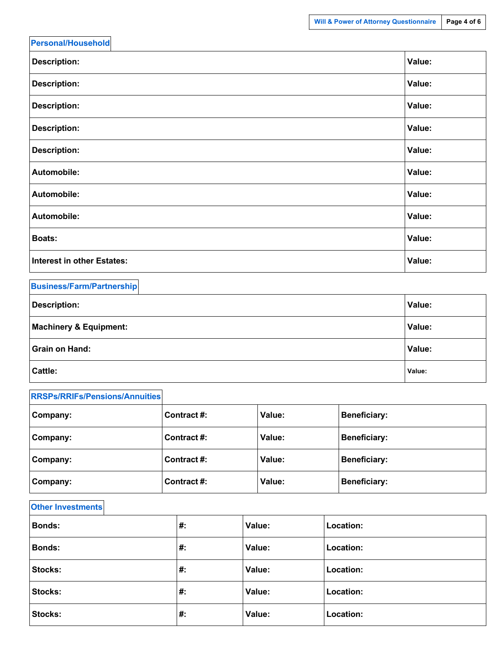| <b>Personal/Household</b>         |        |
|-----------------------------------|--------|
| <b>Description:</b>               | Value: |
| <b>Description:</b>               | Value: |
| <b>Description:</b>               | Value: |
| <b>Description:</b>               | Value: |
| <b>Description:</b>               | Value: |
| Automobile:                       | Value: |
| Automobile:                       | Value: |
| Automobile:                       | Value: |
| <b>Boats:</b>                     | Value: |
| <b>Interest in other Estates:</b> | Value: |

| <b>Business/Farm/Partnership</b>  |               |
|-----------------------------------|---------------|
| <b>Description:</b>               | Value:        |
| <b>Machinery &amp; Equipment:</b> | <b>Value:</b> |
| <b>Grain on Hand:</b>             | Value:        |
| Cattle:                           | Value:        |

| <b>RRSPs/RRIFs/Pensions/Annuities</b> |               |        |                     |
|---------------------------------------|---------------|--------|---------------------|
| Company:                              | Contract #:   | Value: | <b>Beneficiary:</b> |
| Company:                              | l Contract #: | Value: | <b>Beneficiary:</b> |
| Company:                              | l Contract #: | Value: | <b>Beneficiary:</b> |
| Company:                              | Contract #:   | Value: | <b>Beneficiary:</b> |

#### **Other Investments**

| <b>Bonds:</b>  | #: | Value: | Location: |
|----------------|----|--------|-----------|
| <b>Bonds:</b>  | #. | Value: | Location: |
| <b>Stocks:</b> | #. | Value: | Location: |
| <b>Stocks:</b> | #. | Value: | Location: |
| <b>Stocks:</b> | #: | Value: | Location: |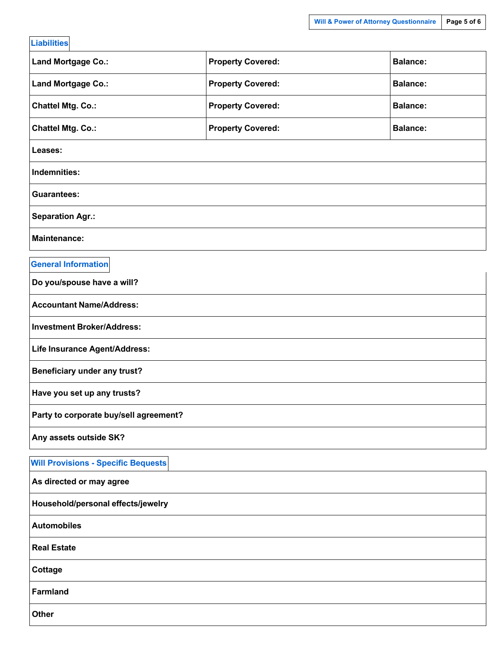| <b>Liabilities</b>                         |                          |                 |  |  |
|--------------------------------------------|--------------------------|-----------------|--|--|
| Land Mortgage Co.:                         | <b>Property Covered:</b> | <b>Balance:</b> |  |  |
| Land Mortgage Co.:                         | <b>Property Covered:</b> | <b>Balance:</b> |  |  |
| <b>Chattel Mtg. Co.:</b>                   | <b>Property Covered:</b> | <b>Balance:</b> |  |  |
| <b>Chattel Mtg. Co.:</b>                   | <b>Property Covered:</b> | <b>Balance:</b> |  |  |
| Leases:                                    |                          |                 |  |  |
| <b>Indemnities:</b>                        |                          |                 |  |  |
| <b>Guarantees:</b>                         |                          |                 |  |  |
| <b>Separation Agr.:</b>                    |                          |                 |  |  |
| <b>Maintenance:</b>                        |                          |                 |  |  |
| <b>General Information</b>                 |                          |                 |  |  |
| Do you/spouse have a will?                 |                          |                 |  |  |
| <b>Accountant Name/Address:</b>            |                          |                 |  |  |
| <b>Investment Broker/Address:</b>          |                          |                 |  |  |
| Life Insurance Agent/Address:              |                          |                 |  |  |
| <b>Beneficiary under any trust?</b>        |                          |                 |  |  |
| Have you set up any trusts?                |                          |                 |  |  |
| Party to corporate buy/sell agreement?     |                          |                 |  |  |
| Any assets outside SK?                     |                          |                 |  |  |
| <b>Will Provisions - Specific Bequests</b> |                          |                 |  |  |
| As directed or may agree                   |                          |                 |  |  |
| Household/personal effects/jewelry         |                          |                 |  |  |
| <b>Automobiles</b>                         |                          |                 |  |  |
| <b>Real Estate</b>                         |                          |                 |  |  |
| <b>Cottage</b>                             |                          |                 |  |  |

**Farmland**

**Other**